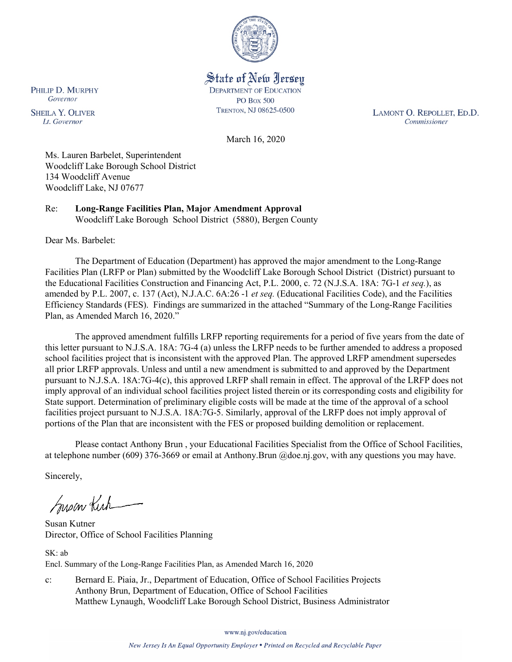

State of New Jersey **DEPARTMENT OF EDUCATION PO Box 500** TRENTON, NJ 08625-0500

LAMONT O. REPOLLET, ED.D. Commissioner

March 16, 2020

Ms. Lauren Barbelet, Superintendent Woodcliff Lake Borough School District 134 Woodcliff Avenue Woodcliff Lake, NJ 07677

Re: **Long-Range Facilities Plan, Major Amendment Approval** Woodcliff Lake Borough School District (5880), Bergen County

Dear Ms. Barbelet:

PHILIP D. MURPHY Governor

**SHEILA Y. OLIVER** 

Lt. Governor

The Department of Education (Department) has approved the major amendment to the Long-Range Facilities Plan (LRFP or Plan) submitted by the Woodcliff Lake Borough School District (District) pursuant to the Educational Facilities Construction and Financing Act, P.L. 2000, c. 72 (N.J.S.A. 18A: 7G-1 *et seq.*), as amended by P.L. 2007, c. 137 (Act), N.J.A.C. 6A:26 -1 *et seq.* (Educational Facilities Code), and the Facilities Efficiency Standards (FES). Findings are summarized in the attached "Summary of the Long-Range Facilities Plan, as Amended March 16, 2020."

The approved amendment fulfills LRFP reporting requirements for a period of five years from the date of this letter pursuant to N.J.S.A. 18A: 7G-4 (a) unless the LRFP needs to be further amended to address a proposed school facilities project that is inconsistent with the approved Plan. The approved LRFP amendment supersedes all prior LRFP approvals. Unless and until a new amendment is submitted to and approved by the Department pursuant to N.J.S.A. 18A:7G-4(c), this approved LRFP shall remain in effect. The approval of the LRFP does not imply approval of an individual school facilities project listed therein or its corresponding costs and eligibility for State support. Determination of preliminary eligible costs will be made at the time of the approval of a school facilities project pursuant to N.J.S.A. 18A:7G-5. Similarly, approval of the LRFP does not imply approval of portions of the Plan that are inconsistent with the FES or proposed building demolition or replacement.

Please contact Anthony Brun , your Educational Facilities Specialist from the Office of School Facilities, at telephone number (609) 376-3669 or email at Anthony.Brun @doe.nj.gov, with any questions you may have.

Sincerely,

Susan Kich

Susan Kutner Director, Office of School Facilities Planning

SK: ab Encl. Summary of the Long-Range Facilities Plan, as Amended March 16, 2020

c: Bernard E. Piaia, Jr., Department of Education, Office of School Facilities Projects Anthony Brun, Department of Education, Office of School Facilities Matthew Lynaugh, Woodcliff Lake Borough School District, Business Administrator

www.nj.gov/education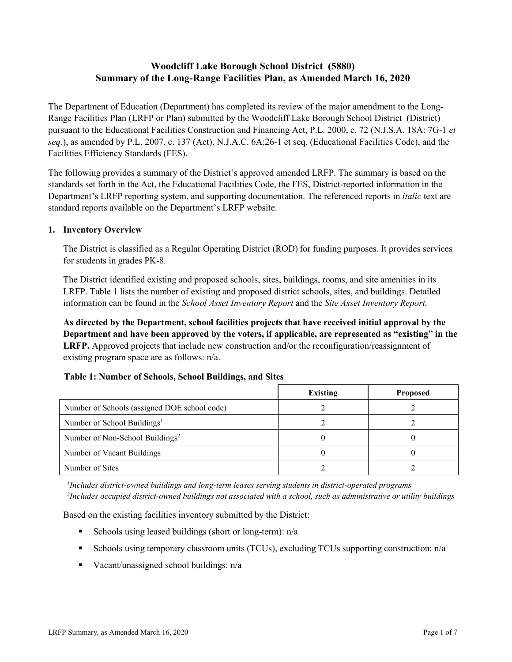# **Woodcliff Lake Borough School District (5880) Summary of the Long-Range Facilities Plan, as Amended March 16, 2020**

The Department of Education (Department) has completed its review of the major amendment to the Long-Range Facilities Plan (LRFP or Plan) submitted by the Woodcliff Lake Borough School District (District) pursuant to the Educational Facilities Construction and Financing Act, P.L. 2000, c. 72 (N.J.S.A. 18A: 7G-1 *et seq.*), as amended by P.L. 2007, c. 137 (Act), N.J.A.C. 6A:26-1 et seq. (Educational Facilities Code), and the Facilities Efficiency Standards (FES).

The following provides a summary of the District's approved amended LRFP. The summary is based on the standards set forth in the Act, the Educational Facilities Code, the FES, District-reported information in the Department's LRFP reporting system, and supporting documentation. The referenced reports in *italic* text are standard reports available on the Department's LRFP website.

### **1. Inventory Overview**

The District is classified as a Regular Operating District (ROD) for funding purposes. It provides services for students in grades PK-8.

The District identified existing and proposed schools, sites, buildings, rooms, and site amenities in its LRFP. Table 1 lists the number of existing and proposed district schools, sites, and buildings. Detailed information can be found in the *School Asset Inventory Report* and the *Site Asset Inventory Report.*

**As directed by the Department, school facilities projects that have received initial approval by the Department and have been approved by the voters, if applicable, are represented as "existing" in the LRFP.** Approved projects that include new construction and/or the reconfiguration/reassignment of existing program space are as follows: n/a.

|  |  | Table 1: Number of Schools, School Buildings, and Sites |  |
|--|--|---------------------------------------------------------|--|
|--|--|---------------------------------------------------------|--|

|                                              | <b>Existing</b> | <b>Proposed</b> |
|----------------------------------------------|-----------------|-----------------|
| Number of Schools (assigned DOE school code) |                 |                 |
| Number of School Buildings <sup>1</sup>      |                 |                 |
| Number of Non-School Buildings <sup>2</sup>  |                 |                 |
| Number of Vacant Buildings                   |                 |                 |
| Number of Sites                              |                 |                 |

*1 Includes district-owned buildings and long-term leases serving students in district-operated programs 2 Includes occupied district-owned buildings not associated with a school, such as administrative or utility buildings*

Based on the existing facilities inventory submitted by the District:

- Schools using leased buildings (short or long-term):  $n/a$
- Schools using temporary classroom units (TCUs), excluding TCUs supporting construction: n/a
- Vacant/unassigned school buildings:  $n/a$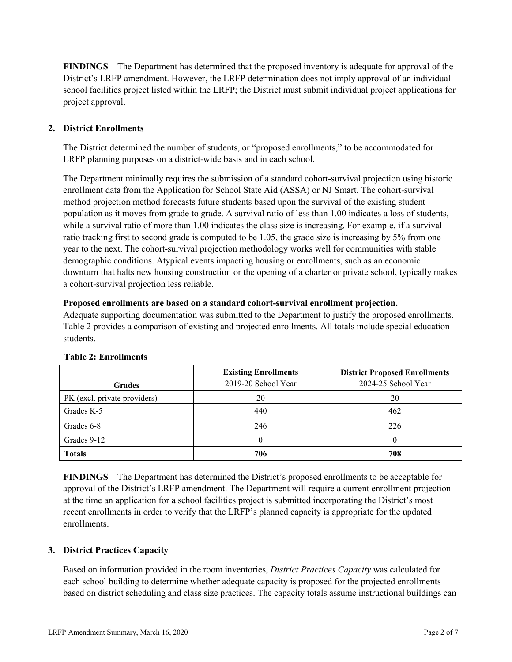**FINDINGS** The Department has determined that the proposed inventory is adequate for approval of the District's LRFP amendment. However, the LRFP determination does not imply approval of an individual school facilities project listed within the LRFP; the District must submit individual project applications for project approval.

# **2. District Enrollments**

The District determined the number of students, or "proposed enrollments," to be accommodated for LRFP planning purposes on a district-wide basis and in each school.

The Department minimally requires the submission of a standard cohort-survival projection using historic enrollment data from the Application for School State Aid (ASSA) or NJ Smart. The cohort-survival method projection method forecasts future students based upon the survival of the existing student population as it moves from grade to grade. A survival ratio of less than 1.00 indicates a loss of students, while a survival ratio of more than 1.00 indicates the class size is increasing. For example, if a survival ratio tracking first to second grade is computed to be 1.05, the grade size is increasing by 5% from one year to the next. The cohort-survival projection methodology works well for communities with stable demographic conditions. Atypical events impacting housing or enrollments, such as an economic downturn that halts new housing construction or the opening of a charter or private school, typically makes a cohort-survival projection less reliable.

#### **Proposed enrollments are based on a standard cohort-survival enrollment projection.**

Adequate supporting documentation was submitted to the Department to justify the proposed enrollments. Table 2 provides a comparison of existing and projected enrollments. All totals include special education students.

| <b>Grades</b>                | <b>Existing Enrollments</b><br>2019-20 School Year | <b>District Proposed Enrollments</b><br>2024-25 School Year |
|------------------------------|----------------------------------------------------|-------------------------------------------------------------|
| PK (excl. private providers) | 20                                                 | 20                                                          |
| Grades K-5                   | 440                                                | 462                                                         |
| Grades 6-8                   | 246                                                | 226                                                         |
| Grades 9-12                  |                                                    |                                                             |
| <b>Totals</b>                | 706                                                | 708                                                         |

#### **Table 2: Enrollments**

**FINDINGS** The Department has determined the District's proposed enrollments to be acceptable for approval of the District's LRFP amendment. The Department will require a current enrollment projection at the time an application for a school facilities project is submitted incorporating the District's most recent enrollments in order to verify that the LRFP's planned capacity is appropriate for the updated enrollments.

#### **3. District Practices Capacity**

Based on information provided in the room inventories, *District Practices Capacity* was calculated for each school building to determine whether adequate capacity is proposed for the projected enrollments based on district scheduling and class size practices. The capacity totals assume instructional buildings can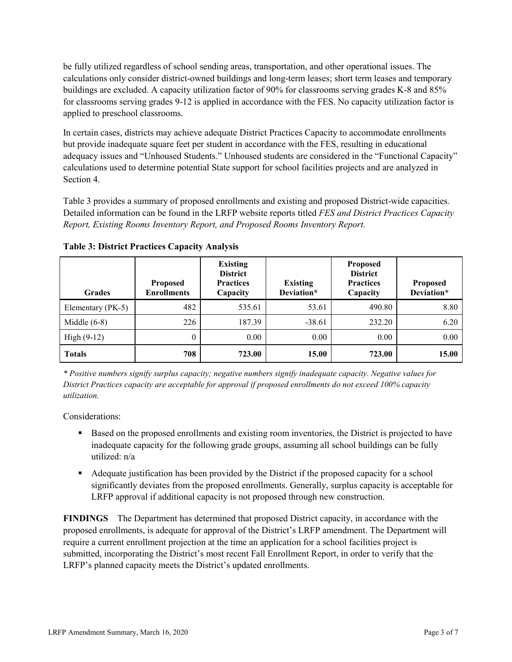be fully utilized regardless of school sending areas, transportation, and other operational issues. The calculations only consider district-owned buildings and long-term leases; short term leases and temporary buildings are excluded. A capacity utilization factor of 90% for classrooms serving grades K-8 and 85% for classrooms serving grades 9-12 is applied in accordance with the FES. No capacity utilization factor is applied to preschool classrooms.

In certain cases, districts may achieve adequate District Practices Capacity to accommodate enrollments but provide inadequate square feet per student in accordance with the FES, resulting in educational adequacy issues and "Unhoused Students." Unhoused students are considered in the "Functional Capacity" calculations used to determine potential State support for school facilities projects and are analyzed in Section 4.

Table 3 provides a summary of proposed enrollments and existing and proposed District-wide capacities. Detailed information can be found in the LRFP website reports titled *FES and District Practices Capacity Report, Existing Rooms Inventory Report, and Proposed Rooms Inventory Report.*

| <b>Grades</b>     | <b>Proposed</b><br><b>Enrollments</b> | <b>Existing</b><br><b>District</b><br><b>Practices</b><br>Capacity | <b>Existing</b><br>Deviation* | <b>Proposed</b><br><b>District</b><br><b>Practices</b><br>Capacity | <b>Proposed</b><br>Deviation* |
|-------------------|---------------------------------------|--------------------------------------------------------------------|-------------------------------|--------------------------------------------------------------------|-------------------------------|
| Elementary (PK-5) | 482                                   | 535.61                                                             | 53.61                         | 490.80                                                             | 8.80                          |
| Middle $(6-8)$    | 226                                   | 187.39                                                             | $-38.61$                      | 232.20                                                             | 6.20                          |
| High $(9-12)$     | $\theta$                              | 0.00                                                               | 0.00                          | 0.00                                                               | 0.00                          |
| <b>Totals</b>     | 708                                   | 723.00                                                             | 15.00                         | 723.00                                                             | 15.00                         |

**Table 3: District Practices Capacity Analysis**

*\* Positive numbers signify surplus capacity; negative numbers signify inadequate capacity. Negative values for District Practices capacity are acceptable for approval if proposed enrollments do not exceed 100% capacity utilization.*

Considerations:

- **Based on the proposed enrollments and existing room inventories, the District is projected to have** inadequate capacity for the following grade groups, assuming all school buildings can be fully utilized: n/a
- Adequate justification has been provided by the District if the proposed capacity for a school significantly deviates from the proposed enrollments. Generally, surplus capacity is acceptable for LRFP approval if additional capacity is not proposed through new construction.

**FINDINGS**The Department has determined that proposed District capacity, in accordance with the proposed enrollments, is adequate for approval of the District's LRFP amendment. The Department will require a current enrollment projection at the time an application for a school facilities project is submitted, incorporating the District's most recent Fall Enrollment Report, in order to verify that the LRFP's planned capacity meets the District's updated enrollments.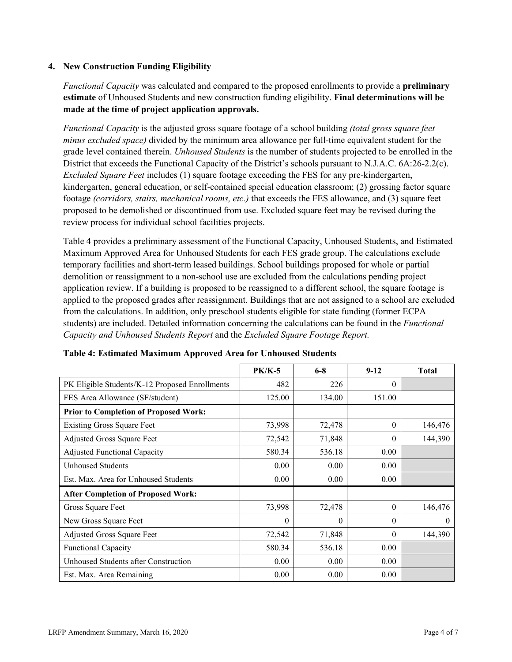### **4. New Construction Funding Eligibility**

*Functional Capacity* was calculated and compared to the proposed enrollments to provide a **preliminary estimate** of Unhoused Students and new construction funding eligibility. **Final determinations will be made at the time of project application approvals.**

*Functional Capacity* is the adjusted gross square footage of a school building *(total gross square feet minus excluded space)* divided by the minimum area allowance per full-time equivalent student for the grade level contained therein. *Unhoused Students* is the number of students projected to be enrolled in the District that exceeds the Functional Capacity of the District's schools pursuant to N.J.A.C. 6A:26-2.2(c). *Excluded Square Feet* includes (1) square footage exceeding the FES for any pre-kindergarten, kindergarten, general education, or self-contained special education classroom; (2) grossing factor square footage *(corridors, stairs, mechanical rooms, etc.)* that exceeds the FES allowance, and (3) square feet proposed to be demolished or discontinued from use. Excluded square feet may be revised during the review process for individual school facilities projects.

Table 4 provides a preliminary assessment of the Functional Capacity, Unhoused Students, and Estimated Maximum Approved Area for Unhoused Students for each FES grade group. The calculations exclude temporary facilities and short-term leased buildings. School buildings proposed for whole or partial demolition or reassignment to a non-school use are excluded from the calculations pending project application review. If a building is proposed to be reassigned to a different school, the square footage is applied to the proposed grades after reassignment. Buildings that are not assigned to a school are excluded from the calculations. In addition, only preschool students eligible for state funding (former ECPA students) are included. Detailed information concerning the calculations can be found in the *Functional Capacity and Unhoused Students Report* and the *Excluded Square Footage Report.*

|                                                | <b>PK/K-5</b> | $6 - 8$  | $9 - 12$ | <b>Total</b> |
|------------------------------------------------|---------------|----------|----------|--------------|
| PK Eligible Students/K-12 Proposed Enrollments | 482           | 226      | $\theta$ |              |
| FES Area Allowance (SF/student)                | 125.00        | 134.00   | 151.00   |              |
| <b>Prior to Completion of Proposed Work:</b>   |               |          |          |              |
| <b>Existing Gross Square Feet</b>              | 73,998        | 72,478   | $\theta$ | 146,476      |
| Adjusted Gross Square Feet                     | 72,542        | 71,848   | $\theta$ | 144,390      |
| <b>Adjusted Functional Capacity</b>            | 580.34        | 536.18   | 0.00     |              |
| <b>Unhoused Students</b>                       | 0.00          | 0.00     | 0.00     |              |
| Est. Max. Area for Unhoused Students           | 0.00          | 0.00     | 0.00     |              |
| <b>After Completion of Proposed Work:</b>      |               |          |          |              |
| Gross Square Feet                              | 73,998        | 72,478   | $\theta$ | 146,476      |
| New Gross Square Feet                          | $\theta$      | $\theta$ | $\Omega$ | $\theta$     |
| Adjusted Gross Square Feet                     | 72,542        | 71,848   | $\Omega$ | 144,390      |
| <b>Functional Capacity</b>                     | 580.34        | 536.18   | 0.00     |              |
| Unhoused Students after Construction           | 0.00          | 0.00     | 0.00     |              |
| Est. Max. Area Remaining                       | 0.00          | 0.00     | 0.00     |              |

**Table 4: Estimated Maximum Approved Area for Unhoused Students**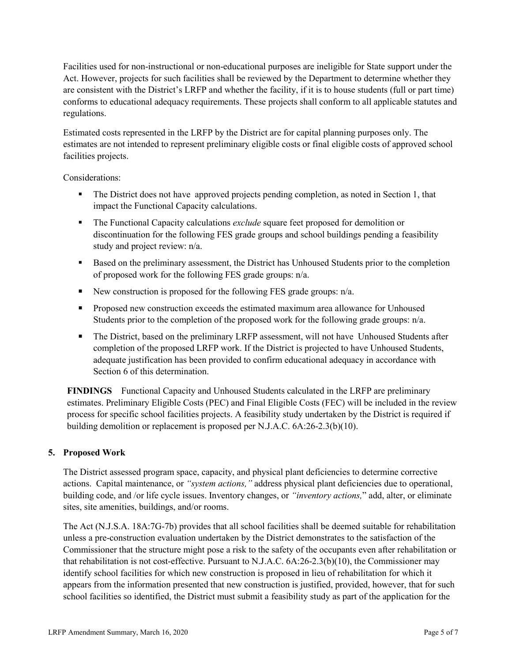Facilities used for non-instructional or non-educational purposes are ineligible for State support under the Act. However, projects for such facilities shall be reviewed by the Department to determine whether they are consistent with the District's LRFP and whether the facility, if it is to house students (full or part time) conforms to educational adequacy requirements. These projects shall conform to all applicable statutes and regulations.

Estimated costs represented in the LRFP by the District are for capital planning purposes only. The estimates are not intended to represent preliminary eligible costs or final eligible costs of approved school facilities projects.

Considerations:

- The District does not have approved projects pending completion, as noted in Section 1, that impact the Functional Capacity calculations.
- The Functional Capacity calculations *exclude* square feet proposed for demolition or discontinuation for the following FES grade groups and school buildings pending a feasibility study and project review: n/a.
- **Based on the preliminary assessment, the District has Unhoused Students prior to the completion** of proposed work for the following FES grade groups: n/a.
- New construction is proposed for the following FES grade groups:  $n/a$ .
- **Proposed new construction exceeds the estimated maximum area allowance for Unhoused** Students prior to the completion of the proposed work for the following grade groups: n/a.
- The District, based on the preliminary LRFP assessment, will not have Unhoused Students after completion of the proposed LRFP work. If the District is projected to have Unhoused Students, adequate justification has been provided to confirm educational adequacy in accordance with Section 6 of this determination.

**FINDINGS** Functional Capacity and Unhoused Students calculated in the LRFP are preliminary estimates. Preliminary Eligible Costs (PEC) and Final Eligible Costs (FEC) will be included in the review process for specific school facilities projects. A feasibility study undertaken by the District is required if building demolition or replacement is proposed per N.J.A.C. 6A:26-2.3(b)(10).

# **5. Proposed Work**

The District assessed program space, capacity, and physical plant deficiencies to determine corrective actions. Capital maintenance, or *"system actions,"* address physical plant deficiencies due to operational, building code, and /or life cycle issues. Inventory changes, or *"inventory actions,*" add, alter, or eliminate sites, site amenities, buildings, and/or rooms.

The Act (N.J.S.A. 18A:7G-7b) provides that all school facilities shall be deemed suitable for rehabilitation unless a pre-construction evaluation undertaken by the District demonstrates to the satisfaction of the Commissioner that the structure might pose a risk to the safety of the occupants even after rehabilitation or that rehabilitation is not cost-effective. Pursuant to N.J.A.C. 6A:26-2.3(b)(10), the Commissioner may identify school facilities for which new construction is proposed in lieu of rehabilitation for which it appears from the information presented that new construction is justified, provided, however, that for such school facilities so identified, the District must submit a feasibility study as part of the application for the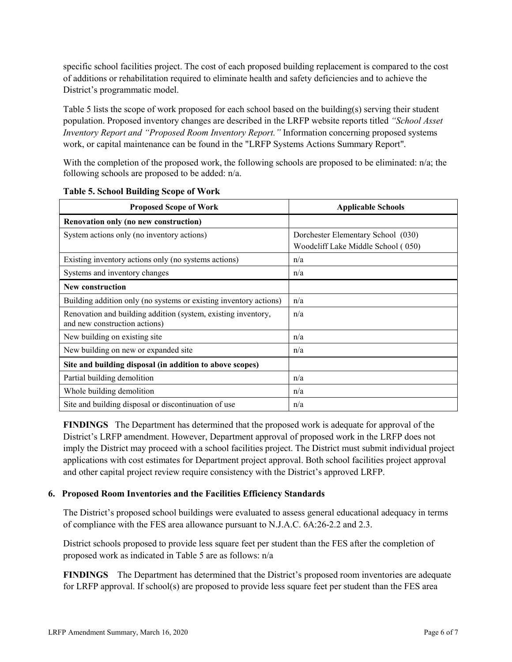specific school facilities project. The cost of each proposed building replacement is compared to the cost of additions or rehabilitation required to eliminate health and safety deficiencies and to achieve the District's programmatic model.

Table 5 lists the scope of work proposed for each school based on the building(s) serving their student population. Proposed inventory changes are described in the LRFP website reports titled *"School Asset Inventory Report and "Proposed Room Inventory Report."* Information concerning proposed systems work, or capital maintenance can be found in the "LRFP Systems Actions Summary Report".

With the completion of the proposed work, the following schools are proposed to be eliminated: n/a; the following schools are proposed to be added: n/a.

| <b>Proposed Scope of Work</b>                                                                  | <b>Applicable Schools</b>                                                |  |  |
|------------------------------------------------------------------------------------------------|--------------------------------------------------------------------------|--|--|
| Renovation only (no new construction)                                                          |                                                                          |  |  |
| System actions only (no inventory actions)                                                     | Dorchester Elementary School (030)<br>Woodcliff Lake Middle School (050) |  |  |
| Existing inventory actions only (no systems actions)                                           | n/a                                                                      |  |  |
| Systems and inventory changes                                                                  | n/a                                                                      |  |  |
| <b>New construction</b>                                                                        |                                                                          |  |  |
| Building addition only (no systems or existing inventory actions)                              | n/a                                                                      |  |  |
| Renovation and building addition (system, existing inventory,<br>and new construction actions) | n/a                                                                      |  |  |
| New building on existing site                                                                  | n/a                                                                      |  |  |
| New building on new or expanded site                                                           | n/a                                                                      |  |  |
| Site and building disposal (in addition to above scopes)                                       |                                                                          |  |  |
| Partial building demolition                                                                    | n/a                                                                      |  |  |
| Whole building demolition                                                                      | n/a                                                                      |  |  |
| Site and building disposal or discontinuation of use                                           | n/a                                                                      |  |  |

**Table 5. School Building Scope of Work**

**FINDINGS** The Department has determined that the proposed work is adequate for approval of the District's LRFP amendment. However, Department approval of proposed work in the LRFP does not imply the District may proceed with a school facilities project. The District must submit individual project applications with cost estimates for Department project approval. Both school facilities project approval and other capital project review require consistency with the District's approved LRFP.

#### **6. Proposed Room Inventories and the Facilities Efficiency Standards**

The District's proposed school buildings were evaluated to assess general educational adequacy in terms of compliance with the FES area allowance pursuant to N.J.A.C. 6A:26-2.2 and 2.3.

District schools proposed to provide less square feet per student than the FES after the completion of proposed work as indicated in Table 5 are as follows: n/a

**FINDINGS** The Department has determined that the District's proposed room inventories are adequate for LRFP approval. If school(s) are proposed to provide less square feet per student than the FES area